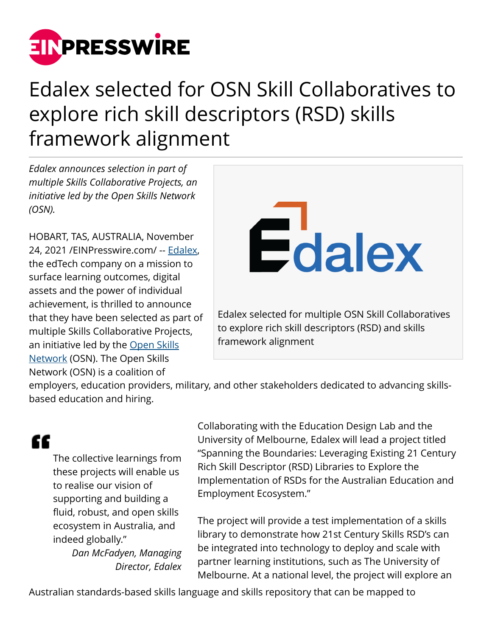

## Edalex selected for OSN Skill Collaboratives to explore rich skill descriptors (RSD) skills framework alignment

*Edalex announces selection in part of multiple Skills Collaborative Projects, an initiative led by the Open Skills Network (OSN).* 

HOBART, TAS, AUSTRALIA, November 24, 2021 /[EINPresswire.com/](http://www.einpresswire.com) -- [Edalex,](https://www.edalex.com/) the edTech company on a mission to surface learning outcomes, digital assets and the power of individual achievement, is thrilled to announce that they have been selected as part of multiple Skills Collaborative Projects, an initiative led by the [Open Skills](https://www.openskillsnetwork.org/) [Network](https://www.openskillsnetwork.org/) (OSN). The Open Skills Network (OSN) is a coalition of



employers, education providers, military, and other stakeholders dedicated to advancing skillsbased education and hiring.

## ££

The collective learnings from these projects will enable us to realise our vision of supporting and building a fluid, robust, and open skills ecosystem in Australia, and indeed globally."

> *Dan McFadyen, Managing Director, Edalex*

Collaborating with the Education Design Lab and the University of Melbourne, Edalex will lead a project titled "Spanning the Boundaries: Leveraging Existing 21 Century Rich Skill Descriptor (RSD) Libraries to Explore the Implementation of RSDs for the Australian Education and Employment Ecosystem."

The project will provide a test implementation of a skills library to demonstrate how 21st Century Skills RSD's can be integrated into technology to deploy and scale with partner learning institutions, such as The University of Melbourne. At a national level, the project will explore an

Australian standards-based skills language and skills repository that can be mapped to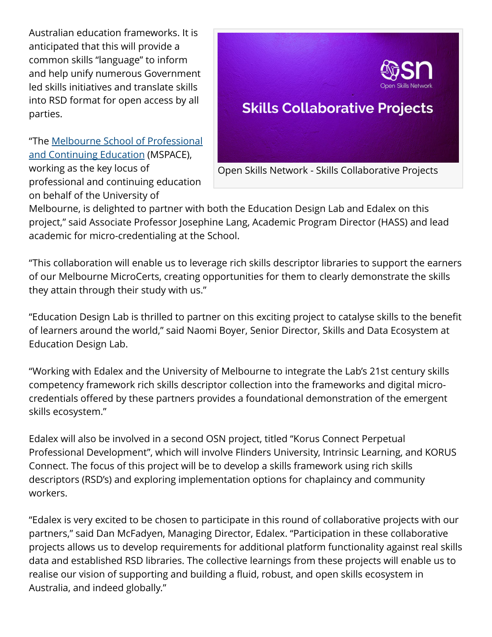Australian education frameworks. It is anticipated that this will provide a common skills "language" to inform and help unify numerous Government led skills initiatives and translate skills into RSD format for open access by all parties.

"The [Melbourne School of Professional](https://mspace.unimelb.edu.au/) [and Continuing Education](https://mspace.unimelb.edu.au/) (MSPACE), working as the key locus of professional and continuing education on behalf of the University of



Melbourne, is delighted to partner with both the Education Design Lab and Edalex on this project," said Associate Professor Josephine Lang, Academic Program Director (HASS) and lead academic for micro-credentialing at the School.

"This collaboration will enable us to leverage rich skills descriptor libraries to support the earners of our Melbourne MicroCerts, creating opportunities for them to clearly demonstrate the skills they attain through their study with us."

"Education Design Lab is thrilled to partner on this exciting project to catalyse skills to the benefit of learners around the world," said Naomi Boyer, Senior Director, Skills and Data Ecosystem at Education Design Lab.

"Working with Edalex and the University of Melbourne to integrate the Lab's 21st century skills competency framework rich skills descriptor collection into the frameworks and digital microcredentials offered by these partners provides a foundational demonstration of the emergent skills ecosystem."

Edalex will also be involved in a second OSN project, titled "Korus Connect Perpetual Professional Development", which will involve Flinders University, Intrinsic Learning, and KORUS Connect. The focus of this project will be to develop a skills framework using rich skills descriptors (RSD's) and exploring implementation options for chaplaincy and community workers.

"Edalex is very excited to be chosen to participate in this round of collaborative projects with our partners," said Dan McFadyen, Managing Director, Edalex. "Participation in these collaborative projects allows us to develop requirements for additional platform functionality against real skills data and established RSD libraries. The collective learnings from these projects will enable us to realise our vision of supporting and building a fluid, robust, and open skills ecosystem in Australia, and indeed globally."